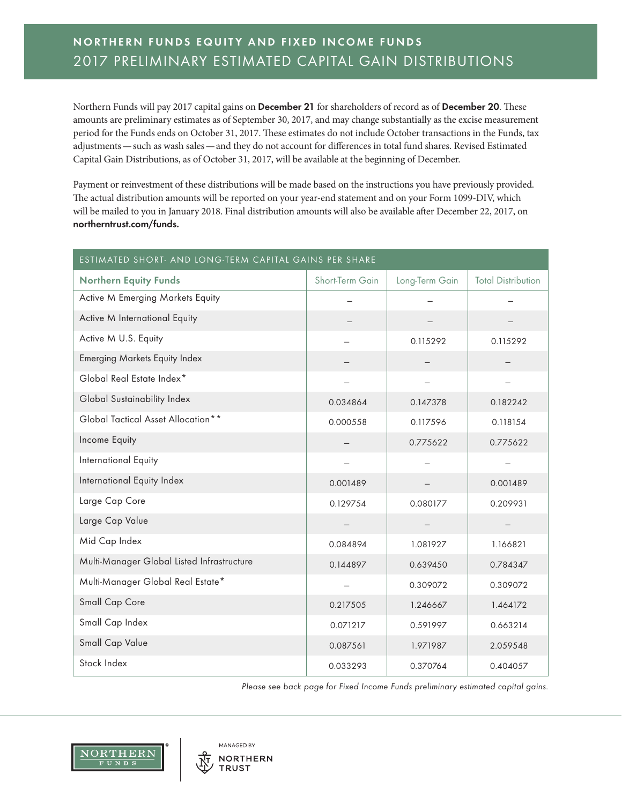## **NORTHERN FUNDS EQUITY AND FIXED INCOME FUNDS** 2017 PRELIMINARY ESTIMATED CAPITAL GAIN DISTRIBUTIONS

Northern Funds will pay 2017 capital gains on **December 21** for shareholders of record as of **December 20**. These amounts are preliminary estimates as of September 30, 2017, and may change substantially as the excise measurement period for the Funds ends on October 31, 2017. These estimates do not include October transactions in the Funds, tax adjustments—such as wash sales—and they do not account for differences in total fund shares. Revised Estimated Capital Gain Distributions, as of October 31, 2017, will be available at the beginning of December.

Payment or reinvestment of these distributions will be made based on the instructions you have previously provided. The actual distribution amounts will be reported on your year-end statement and on your Form 1099-DIV, which will be mailed to you in January 2018. Final distribution amounts will also be available after December 22, 2017, on **northerntrust.com/funds.**

| ESTIMATED SHORT- AND LONG-TERM CAPITAL GAINS PER SHARE |                 |                |                           |  |
|--------------------------------------------------------|-----------------|----------------|---------------------------|--|
| <b>Northern Equity Funds</b>                           | Short-Term Gain | Long-Term Gain | <b>Total Distribution</b> |  |
| Active M Emerging Markets Equity                       |                 |                |                           |  |
| Active M International Equity                          |                 |                |                           |  |
| Active M U.S. Equity                                   |                 | 0.115292       | 0.115292                  |  |
| <b>Emerging Markets Equity Index</b>                   |                 |                |                           |  |
| Global Real Estate Index*                              |                 |                |                           |  |
| Global Sustainability Index                            | 0.034864        | 0.147378       | 0.182242                  |  |
| Global Tactical Asset Allocation**                     | 0.000558        | 0.117596       | 0.118154                  |  |
| Income Equity                                          |                 | 0.775622       | 0.775622                  |  |
| International Equity                                   |                 |                | $\overline{\phantom{m}}$  |  |
| International Equity Index                             | 0.001489        |                | 0.001489                  |  |
| Large Cap Core                                         | 0.129754        | 0.080177       | 0.209931                  |  |
| Large Cap Value                                        |                 |                |                           |  |
| Mid Cap Index                                          | 0.084894        | 1.081927       | 1.166821                  |  |
| Multi-Manager Global Listed Infrastructure             | 0.144897        | 0.639450       | 0.784347                  |  |
| Multi-Manager Global Real Estate*                      |                 | 0.309072       | 0.309072                  |  |
| Small Cap Core                                         | 0.217505        | 1.246667       | 1.464172                  |  |
| Small Cap Index                                        | 0.071217        | 0.591997       | 0.663214                  |  |
| Small Cap Value                                        | 0.087561        | 1.971987       | 2.059548                  |  |
| Stock Index                                            | 0.033293        | 0.370764       | 0.404057                  |  |

*Please see back page for Fixed Income Funds preliminary estimated capital gains.*